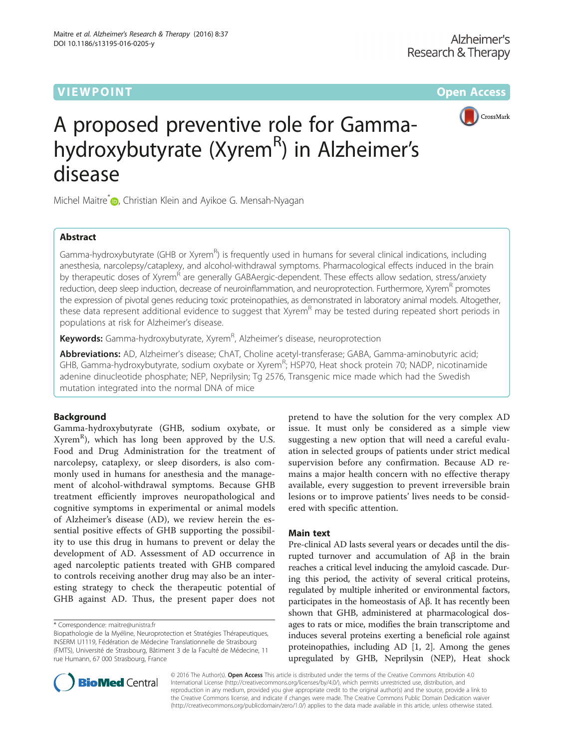# **VIEW POINT And Access** the Contract of Contract of Contract of Contract of Contract of Contract of Contract of Co



# A proposed preventive role for Gammahydroxybutyrate (Xyrem<sup>R</sup>) in Alzheimer's disease

Michel Maitre<sup>\*</sup> , Christian Klein and Ayikoe G. Mensah-Nyagan

## Abstract

Gamma-hydroxybutyrate (GHB or Xyrem<sup>R</sup>) is frequently used in humans for several clinical indications, including anesthesia, narcolepsy/cataplexy, and alcohol-withdrawal symptoms. Pharmacological effects induced in the brain by therapeutic doses of Xyrem<sup>R</sup> are generally GABAergic-dependent. These effects allow sedation, stress/anxiety reduction, deep sleep induction, decrease of neuroinflammation, and neuroprotection. Furthermore, Xyrem<sup>R</sup> promotes the expression of pivotal genes reducing toxic proteinopathies, as demonstrated in laboratory animal models. Altogether, these data represent additional evidence to suggest that Xyrem<sup>R</sup> may be tested during repeated short periods in populations at risk for Alzheimer's disease.

**Keywords:** Gamma-hydroxybutyrate, Xyrem<sup>R</sup>, Alzheimer's disease, neuroprotection

Abbreviations: AD, Alzheimer's disease; ChAT, Choline acetyl-transferase; GABA, Gamma-aminobutyric acid; GHB, Gamma-hydroxybutyrate, sodium oxybate or Xyrem<sup>R</sup>; HSP70, Heat shock protein 70; NADP, nicotinamide adenine dinucleotide phosphate; NEP, Neprilysin; Tg 2576, Transgenic mice made which had the Swedish mutation integrated into the normal DNA of mice

## Background

Gamma-hydroxybutyrate (GHB, sodium oxybate, or Xyrem<sup>R</sup>), which has long been approved by the U.S. Food and Drug Administration for the treatment of narcolepsy, cataplexy, or sleep disorders, is also commonly used in humans for anesthesia and the management of alcohol-withdrawal symptoms. Because GHB treatment efficiently improves neuropathological and cognitive symptoms in experimental or animal models of Alzheimer's disease (AD), we review herein the essential positive effects of GHB supporting the possibility to use this drug in humans to prevent or delay the development of AD. Assessment of AD occurrence in aged narcoleptic patients treated with GHB compared to controls receiving another drug may also be an interesting strategy to check the therapeutic potential of GHB against AD. Thus, the present paper does not

pretend to have the solution for the very complex AD issue. It must only be considered as a simple view suggesting a new option that will need a careful evaluation in selected groups of patients under strict medical supervision before any confirmation. Because AD remains a major health concern with no effective therapy available, every suggestion to prevent irreversible brain lesions or to improve patients' lives needs to be considered with specific attention.

## Main text

Pre-clinical AD lasts several years or decades until the disrupted turnover and accumulation of Aβ in the brain reaches a critical level inducing the amyloid cascade. During this period, the activity of several critical proteins, regulated by multiple inherited or environmental factors, participates in the homeostasis of Aβ. It has recently been shown that GHB, administered at pharmacological dosages to rats or mice, modifies the brain transcriptome and induces several proteins exerting a beneficial role against proteinopathies, including AD [[1, 2](#page-2-0)]. Among the genes upregulated by GHB, Neprilysin (NEP), Heat shock



© 2016 The Author(s). Open Access This article is distributed under the terms of the Creative Commons Attribution 4.0 International License [\(http://creativecommons.org/licenses/by/4.0/](http://creativecommons.org/licenses/by/4.0/)), which permits unrestricted use, distribution, and reproduction in any medium, provided you give appropriate credit to the original author(s) and the source, provide a link to the Creative Commons license, and indicate if changes were made. The Creative Commons Public Domain Dedication waiver [\(http://creativecommons.org/publicdomain/zero/1.0/](http://creativecommons.org/publicdomain/zero/1.0/)) applies to the data made available in this article, unless otherwise stated.

<sup>\*</sup> Correspondence: [maitre@unistra.fr](mailto:maitre@unistra.fr)

Biopathologie de la Myéline, Neuroprotection et Stratégies Thérapeutiques, INSERM U1119, Fédération de Médecine Translationnelle de Strasbourg (FMTS), Université de Strasbourg, Bâtiment 3 de la Faculté de Médecine, 11 rue Humann, 67 000 Strasbourg, France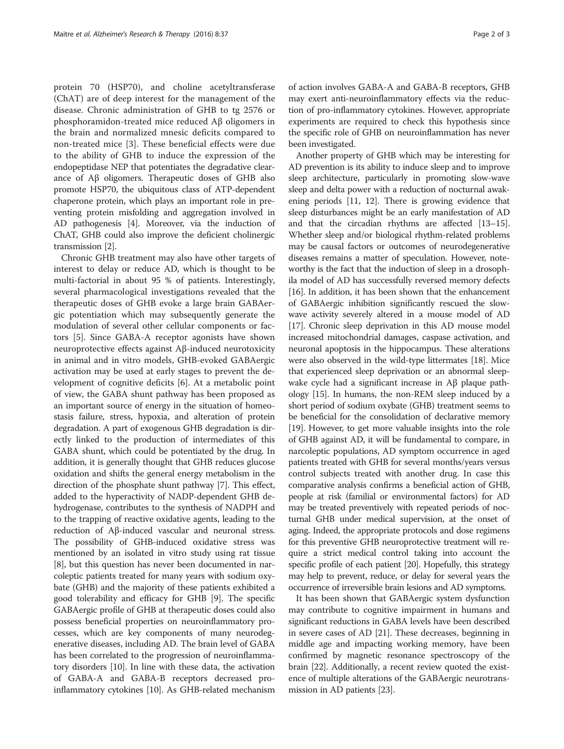protein 70 (HSP70), and choline acetyltransferase (ChAT) are of deep interest for the management of the disease. Chronic administration of GHB to tg 2576 or phosphoramidon-treated mice reduced Aβ oligomers in the brain and normalized mnesic deficits compared to non-treated mice [[3](#page-2-0)]. These beneficial effects were due to the ability of GHB to induce the expression of the endopeptidase NEP that potentiates the degradative clearance of Aβ oligomers. Therapeutic doses of GHB also promote HSP70, the ubiquitous class of ATP-dependent chaperone protein, which plays an important role in preventing protein misfolding and aggregation involved in AD pathogenesis [[4\]](#page-2-0). Moreover, via the induction of ChAT, GHB could also improve the deficient cholinergic transmission [\[2](#page-2-0)].

Chronic GHB treatment may also have other targets of interest to delay or reduce AD, which is thought to be multi-factorial in about 95 % of patients. Interestingly, several pharmacological investigations revealed that the therapeutic doses of GHB evoke a large brain GABAergic potentiation which may subsequently generate the modulation of several other cellular components or factors [\[5](#page-2-0)]. Since GABA-A receptor agonists have shown neuroprotective effects against Aβ-induced neurotoxicity in animal and in vitro models, GHB-evoked GABAergic activation may be used at early stages to prevent the development of cognitive deficits [[6](#page-2-0)]. At a metabolic point of view, the GABA shunt pathway has been proposed as an important source of energy in the situation of homeostasis failure, stress, hypoxia, and alteration of protein degradation. A part of exogenous GHB degradation is directly linked to the production of intermediates of this GABA shunt, which could be potentiated by the drug. In addition, it is generally thought that GHB reduces glucose oxidation and shifts the general energy metabolism in the direction of the phosphate shunt pathway [\[7](#page-2-0)]. This effect, added to the hyperactivity of NADP-dependent GHB dehydrogenase, contributes to the synthesis of NADPH and to the trapping of reactive oxidative agents, leading to the reduction of Aβ-induced vascular and neuronal stress. The possibility of GHB-induced oxidative stress was mentioned by an isolated in vitro study using rat tissue [[8\]](#page-2-0), but this question has never been documented in narcoleptic patients treated for many years with sodium oxybate (GHB) and the majority of these patients exhibited a good tolerability and efficacy for GHB [[9\]](#page-2-0). The specific GABAergic profile of GHB at therapeutic doses could also possess beneficial properties on neuroinflammatory processes, which are key components of many neurodegenerative diseases, including AD. The brain level of GABA has been correlated to the progression of neuroinflammatory disorders [\[10](#page-2-0)]. In line with these data, the activation of GABA-A and GABA-B receptors decreased proinflammatory cytokines [[10](#page-2-0)]. As GHB-related mechanism of action involves GABA-A and GABA-B receptors, GHB may exert anti-neuroinflammatory effects via the reduction of pro-inflammatory cytokines. However, appropriate experiments are required to check this hypothesis since the specific role of GHB on neuroinflammation has never been investigated.

Another property of GHB which may be interesting for AD prevention is its ability to induce sleep and to improve sleep architecture, particularly in promoting slow-wave sleep and delta power with a reduction of nocturnal awakening periods [\[11, 12\]](#page-2-0). There is growing evidence that sleep disturbances might be an early manifestation of AD and that the circadian rhythms are affected [\[13](#page-2-0)–[15](#page-2-0)]. Whether sleep and/or biological rhythm-related problems may be causal factors or outcomes of neurodegenerative diseases remains a matter of speculation. However, noteworthy is the fact that the induction of sleep in a drosophila model of AD has successfully reversed memory defects [[16](#page-2-0)]. In addition, it has been shown that the enhancement of GABAergic inhibition significantly rescued the slowwave activity severely altered in a mouse model of AD [[17](#page-2-0)]. Chronic sleep deprivation in this AD mouse model increased mitochondrial damages, caspase activation, and neuronal apoptosis in the hippocampus. These alterations were also observed in the wild-type littermates [\[18](#page-2-0)]. Mice that experienced sleep deprivation or an abnormal sleepwake cycle had a significant increase in Aβ plaque pathology [\[15\]](#page-2-0). In humans, the non-REM sleep induced by a short period of sodium oxybate (GHB) treatment seems to be beneficial for the consolidation of declarative memory [[19](#page-2-0)]. However, to get more valuable insights into the role of GHB against AD, it will be fundamental to compare, in narcoleptic populations, AD symptom occurrence in aged patients treated with GHB for several months/years versus control subjects treated with another drug. In case this comparative analysis confirms a beneficial action of GHB, people at risk (familial or environmental factors) for AD may be treated preventively with repeated periods of nocturnal GHB under medical supervision, at the onset of aging. Indeed, the appropriate protocols and dose regimens for this preventive GHB neuroprotective treatment will require a strict medical control taking into account the specific profile of each patient [\[20](#page-2-0)]. Hopefully, this strategy may help to prevent, reduce, or delay for several years the occurrence of irreversible brain lesions and AD symptoms.

It has been shown that GABAergic system dysfunction may contribute to cognitive impairment in humans and significant reductions in GABA levels have been described in severe cases of AD [\[21\]](#page-2-0). These decreases, beginning in middle age and impacting working memory, have been confirmed by magnetic resonance spectroscopy of the brain [[22\]](#page-2-0). Additionally, a recent review quoted the existence of multiple alterations of the GABAergic neurotransmission in AD patients [\[23\]](#page-2-0).